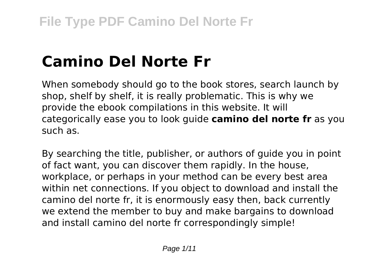# **Camino Del Norte Fr**

When somebody should go to the book stores, search launch by shop, shelf by shelf, it is really problematic. This is why we provide the ebook compilations in this website. It will categorically ease you to look guide **camino del norte fr** as you such as.

By searching the title, publisher, or authors of guide you in point of fact want, you can discover them rapidly. In the house, workplace, or perhaps in your method can be every best area within net connections. If you object to download and install the camino del norte fr, it is enormously easy then, back currently we extend the member to buy and make bargains to download and install camino del norte fr correspondingly simple!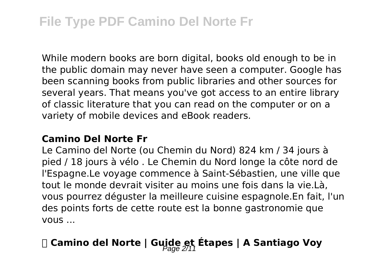While modern books are born digital, books old enough to be in the public domain may never have seen a computer. Google has been scanning books from public libraries and other sources for several years. That means you've got access to an entire library of classic literature that you can read on the computer or on a variety of mobile devices and eBook readers.

#### **Camino Del Norte Fr**

Le Camino del Norte (ou Chemin du Nord) 824 km / 34 jours à pied / 18 jours à vélo . Le Chemin du Nord longe la côte nord de l'Espagne.Le voyage commence à Saint-Sébastien, une ville que tout le monde devrait visiter au moins une fois dans la vie.Là, vous pourrez déguster la meilleure cuisine espagnole.En fait, l'un des points forts de cette route est la bonne gastronomie que vous ...

# **磊 Camino del Norte | Guide et Étapes | A Santiago Voy** Page 2/11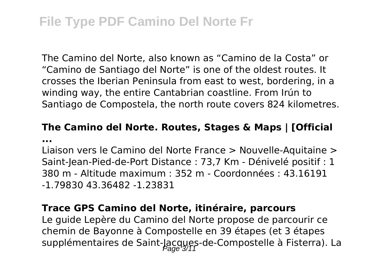# **File Type PDF Camino Del Norte Fr**

The Camino del Norte, also known as "Camino de la Costa" or "Camino de Santiago del Norte" is one of the oldest routes. It crosses the Iberian Peninsula from east to west, bordering, in a winding way, the entire Cantabrian coastline. From Irún to Santiago de Compostela, the north route covers 824 kilometres.

#### **The Camino del Norte. Routes, Stages & Maps | [Official ...**

Liaison vers le Camino del Norte France > Nouvelle-Aquitaine > Saint-Jean-Pied-de-Port Distance : 73,7 Km - Dénivelé positif : 1 380 m - Altitude maximum : 352 m - Coordonnées : 43.16191 -1.79830 43.36482 -1.23831

#### **Trace GPS Camino del Norte, itinéraire, parcours**

Le guide Lepère du Camino del Norte propose de parcourir ce chemin de Bayonne à Compostelle en 39 étapes (et 3 étapes supplémentaires de Saint-Jacques-de-Compostelle à Fisterra). La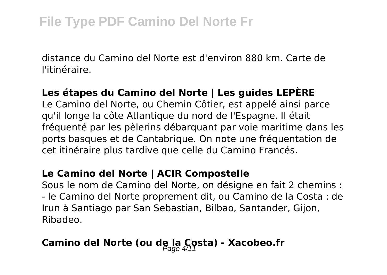distance du Camino del Norte est d'environ 880 km. Carte de l'itinéraire.

#### **Les étapes du Camino del Norte | Les guides LEPÈRE**

Le Camino del Norte, ou Chemin Côtier, est appelé ainsi parce qu'il longe la côte Atlantique du nord de l'Espagne. Il était fréquenté par les pèlerins débarquant par voie maritime dans les ports basques et de Cantabrique. On note une fréquentation de cet itinéraire plus tardive que celle du Camino Francés.

#### **Le Camino del Norte | ACIR Compostelle**

Sous le nom de Camino del Norte, on désigne en fait 2 chemins : - le Camino del Norte proprement dit, ou Camino de la Costa : de Irun à Santiago par San Sebastian, Bilbao, Santander, Gijon, Ribadeo.

# Camino del Norte (ou de la Costa) - Xacobeo.fr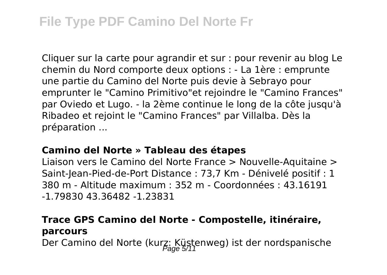# **File Type PDF Camino Del Norte Fr**

Cliquer sur la carte pour agrandir et sur : pour revenir au blog Le chemin du Nord comporte deux options : - La 1ère : emprunte une partie du Camino del Norte puis devie à Sebrayo pour emprunter le "Camino Primitivo"et rejoindre le "Camino Frances" par Oviedo et Lugo. - la 2ème continue le long de la côte jusqu'à Ribadeo et rejoint le "Camino Frances" par Villalba. Dès la préparation ...

#### **Camino del Norte » Tableau des étapes**

Liaison vers le Camino del Norte France > Nouvelle-Aquitaine > Saint-Jean-Pied-de-Port Distance : 73,7 Km - Dénivelé positif : 1 380 m - Altitude maximum : 352 m - Coordonnées : 43.16191 -1.79830 43.36482 -1.23831

### **Trace GPS Camino del Norte - Compostelle, itinéraire, parcours**

Der Camino del Norte (kurz: Küstenweg) ist der nordspanische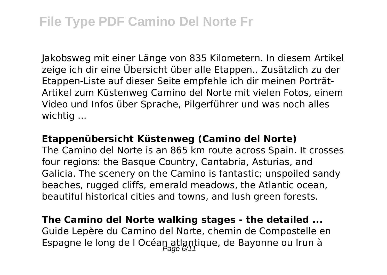Jakobsweg mit einer Länge von 835 Kilometern. In diesem Artikel zeige ich dir eine Übersicht über alle Etappen.. Zusätzlich zu der Etappen-Liste auf dieser Seite empfehle ich dir meinen Porträt-Artikel zum Küstenweg Camino del Norte mit vielen Fotos, einem Video und Infos über Sprache, Pilgerführer und was noch alles wichtig ...

#### **Etappenübersicht Küstenweg (Camino del Norte)**

The Camino del Norte is an 865 km route across Spain. It crosses four regions: the Basque Country, Cantabria, Asturias, and Galicia. The scenery on the Camino is fantastic; unspoiled sandy beaches, rugged cliffs, emerald meadows, the Atlantic ocean, beautiful historical cities and towns, and lush green forests.

#### **The Camino del Norte walking stages - the detailed ...** Guide Lepère du Camino del Norte, chemin de Compostelle en

Espagne le long de l Océan atlantique, de Bayonne ou Irun à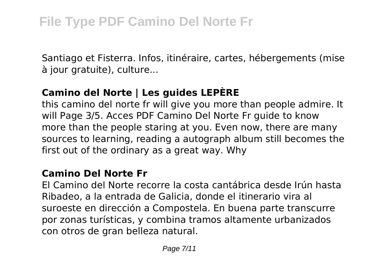Santiago et Fisterra. Infos, itinéraire, cartes, hébergements (mise à jour gratuite), culture...

# **Camino del Norte | Les guides LEPÈRE**

this camino del norte fr will give you more than people admire. It will Page 3/5. Acces PDF Camino Del Norte Fr guide to know more than the people staring at you. Even now, there are many sources to learning, reading a autograph album still becomes the first out of the ordinary as a great way. Why

### **Camino Del Norte Fr**

El Camino del Norte recorre la costa cantábrica desde Irún hasta Ribadeo, a la entrada de Galicia, donde el itinerario vira al suroeste en dirección a Compostela. En buena parte transcurre por zonas turísticas, y combina tramos altamente urbanizados con otros de gran belleza natural.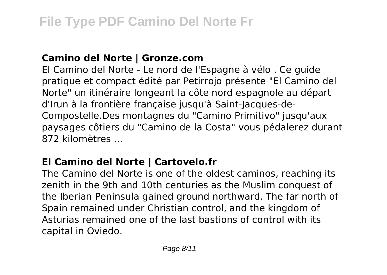### **Camino del Norte | Gronze.com**

El Camino del Norte - Le nord de l'Espagne à vélo . Ce guide pratique et compact édité par Petirrojo présente "El Camino del Norte" un itinéraire longeant la côte nord espagnole au départ d'Irun à la frontière française jusqu'à Saint-Jacques-de-Compostelle.Des montagnes du "Camino Primitivo" jusqu'aux paysages côtiers du "Camino de la Costa" vous pédalerez durant 872 kilomètres ...

# **El Camino del Norte | Cartovelo.fr**

The Camino del Norte is one of the oldest caminos, reaching its zenith in the 9th and 10th centuries as the Muslim conquest of the Iberian Peninsula gained ground northward. The far north of Spain remained under Christian control, and the kingdom of Asturias remained one of the last bastions of control with its capital in Oviedo.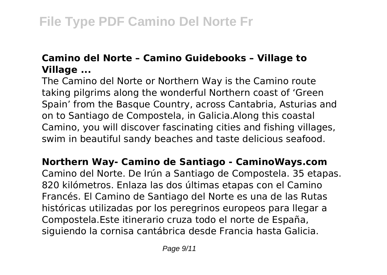# **Camino del Norte – Camino Guidebooks – Village to Village ...**

The Camino del Norte or Northern Way is the Camino route taking pilgrims along the wonderful Northern coast of 'Green Spain' from the Basque Country, across Cantabria, Asturias and on to Santiago de Compostela, in Galicia.Along this coastal Camino, you will discover fascinating cities and fishing villages, swim in beautiful sandy beaches and taste delicious seafood.

**Northern Way- Camino de Santiago - CaminoWays.com** Camino del Norte. De Irún a Santiago de Compostela. 35 etapas. 820 kilómetros. Enlaza las dos últimas etapas con el Camino Francés. El Camino de Santiago del Norte es una de las Rutas históricas utilizadas por los peregrinos europeos para llegar a Compostela.Este itinerario cruza todo el norte de España, siguiendo la cornisa cantábrica desde Francia hasta Galicia.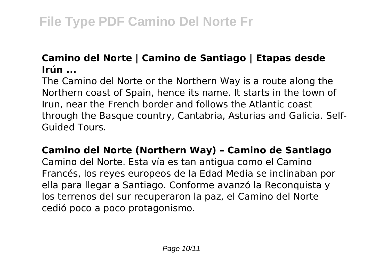## **Camino del Norte | Camino de Santiago | Etapas desde Irún ...**

The Camino del Norte or the Northern Way is a route along the Northern coast of Spain, hence its name. It starts in the town of Irun, near the French border and follows the Atlantic coast through the Basque country, Cantabria, Asturias and Galicia. Self-Guided Tours.

### **Camino del Norte (Northern Way) – Camino de Santiago**

Camino del Norte. Esta vía es tan antigua como el Camino Francés, los reyes europeos de la Edad Media se inclinaban por ella para llegar a Santiago. Conforme avanzó la Reconquista y los terrenos del sur recuperaron la paz, el Camino del Norte cedió poco a poco protagonismo.